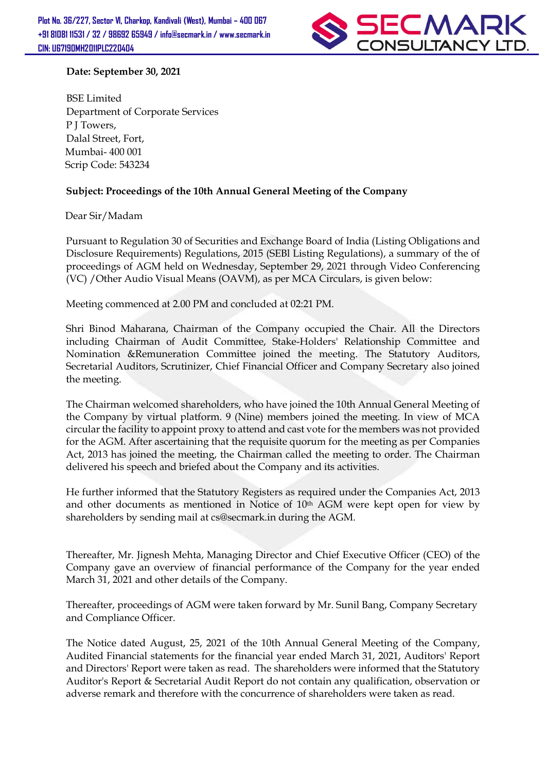

## Date: September 30, 2021

BSE Limited Department of Corporate Services P J Towers, Dalal Street, Fort, Mumbai- 400 001 Scrip Code: 543234

## Subject: Proceedings of the 10th Annual General Meeting of the Company

Dear Sir/Madam

Pursuant to Regulation 30 of Securities and Exchange Board of India (Listing Obligations and Disclosure Requirements) Regulations, 2015 (SEBl Listing Regulations), a summary of the of proceedings of AGM held on Wednesday, September 29, 2021 through Video Conferencing (VC) /Other Audio Visual Means (OAVM), as per MCA Circulars, is given below:

Meeting commenced at 2.00 PM and concluded at 02:21 PM.

Shri Binod Maharana, Chairman of the Company occupied the Chair. All the Directors including Chairman of Audit Committee, Stake-Holders' Relationship Committee and Nomination &Remuneration Committee joined the meeting. The Statutory Auditors, Secretarial Auditors, Scrutinizer, Chief Financial Officer and Company Secretary also joined the meeting.

The Chairman welcomed shareholders, who have joined the 10th Annual General Meeting of the Company by virtual platform. 9 (Nine) members joined the meeting. In view of MCA circular the facility to appoint proxy to attend and cast vote for the members was not provided for the AGM. After ascertaining that the requisite quorum for the meeting as per Companies Act, 2013 has joined the meeting, the Chairman called the meeting to order. The Chairman delivered his speech and briefed about the Company and its activities.

He further informed that the Statutory Registers as required under the Companies Act, 2013 and other documents as mentioned in Notice of 10th AGM were kept open for view by shareholders by sending mail at cs@secmark.in during the AGM.

Thereafter, Mr. Jignesh Mehta, Managing Director and Chief Executive Officer (CEO) of the Company gave an overview of financial performance of the Company for the year ended March 31, 2021 and other details of the Company.

Thereafter, proceedings of AGM were taken forward by Mr. Sunil Bang, Company Secretary and Compliance Officer.

The Notice dated August, 25, 2021 of the 10th Annual General Meeting of the Company, Audited Financial statements for the financial year ended March 31, 2021, Auditors' Report and Directors' Report were taken as read. The shareholders were informed that the Statutory Auditor's Report & Secretarial Audit Report do not contain any qualification, observation or adverse remark and therefore with the concurrence of shareholders were taken as read.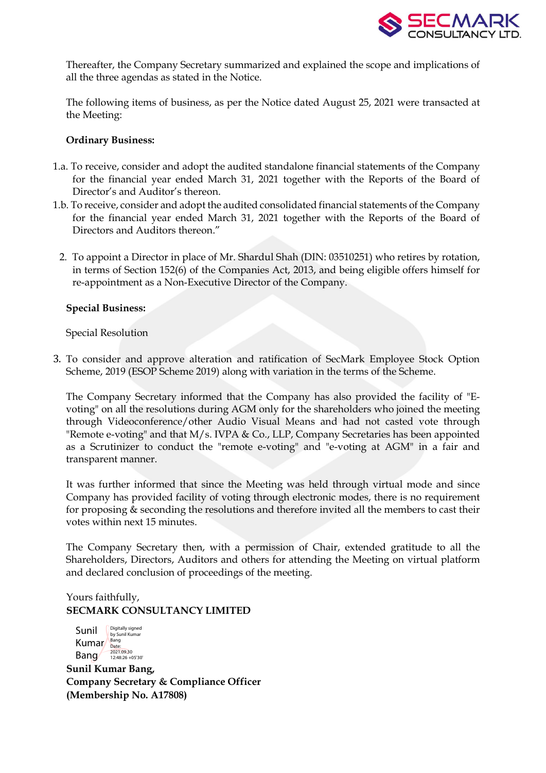

Thereafter, the Company Secretary summarized and explained the scope and implications of all the three agendas as stated in the Notice.

The following items of business, as per the Notice dated August 25, 2021 were transacted at the Meeting:

### Ordinary Business:

- 1.a. To receive, consider and adopt the audited standalone financial statements of the Company for the financial year ended March 31, 2021 together with the Reports of the Board of Director's and Auditor's thereon.
- 1.b. To receive, consider and adopt the audited consolidated financial statements of the Company for the financial year ended March 31, 2021 together with the Reports of the Board of Directors and Auditors thereon."
	- 2. To appoint a Director in place of Mr. Shardul Shah (DIN: 03510251) who retires by rotation, in terms of Section 152(6) of the Companies Act, 2013, and being eligible offers himself for re-appointment as a Non-Executive Director of the Company.

### Special Business:

Special Resolution

3. To consider and approve alteration and ratification of SecMark Employee Stock Option Scheme, 2019 (ESOP Scheme 2019) along with variation in the terms of the Scheme.

The Company Secretary informed that the Company has also provided the facility of "Evoting" on all the resolutions during AGM only for the shareholders who joined the meeting through Videoconference/other Audio Visual Means and had not casted vote through "Remote e-voting" and that M/s. IVPA & Co., LLP, Company Secretaries has been appointed as a Scrutinizer to conduct the "remote e-voting" and "e-voting at AGM" in a fair and transparent manner.

It was further informed that since the Meeting was held through virtual mode and since Company has provided facility of voting through electronic modes, there is no requirement for proposing & seconding the resolutions and therefore invited all the members to cast their votes within next 15 minutes.

The Company Secretary then, with a permission of Chair, extended gratitude to all the Shareholders, Directors, Auditors and others for attending the Meeting on virtual platform and declared conclusion of proceedings of the meeting.

# Yours faithfully, SECMARK CONSULTANCY LIMITED



Sunil Kumar Bang, Company Secretary & Compliance Officer (Membership No. A17808)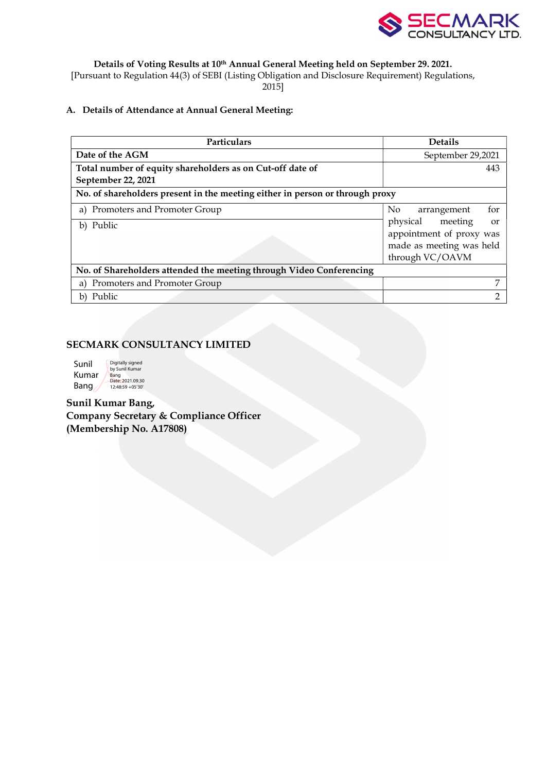

Details of Voting Results at 10th Annual General Meeting held on September 29. 2021.

[Pursuant to Regulation 44(3) of SEBI (Listing Obligation and Disclosure Requirement) Regulations,

2015]

## A. Details of Attendance at Annual General Meeting:

| Particulars                                                                  | <b>Details</b>                   |  |  |  |
|------------------------------------------------------------------------------|----------------------------------|--|--|--|
| Date of the AGM                                                              | September 29,2021                |  |  |  |
| Total number of equity shareholders as on Cut-off date of                    | 443                              |  |  |  |
| September 22, 2021                                                           |                                  |  |  |  |
| No. of shareholders present in the meeting either in person or through proxy |                                  |  |  |  |
| a) Promoters and Promoter Group                                              | for<br>No.<br>arrangement        |  |  |  |
| b) Public                                                                    | meeting<br>physical<br><b>or</b> |  |  |  |
|                                                                              | appointment of proxy was         |  |  |  |
| made as meeting was held                                                     |                                  |  |  |  |
|                                                                              | through VC/OAVM                  |  |  |  |
| No. of Shareholders attended the meeting through Video Conferencing          |                                  |  |  |  |
| Promoters and Promoter Group<br>a)                                           | 7                                |  |  |  |
| b) Public                                                                    |                                  |  |  |  |

## SECMARK CONSULTANCY LIMITED

| Sunil | Digitally signed<br>by Sunil Kumar |
|-------|------------------------------------|
| Kumar | Bang<br>Date: 2021.09.30           |
| Bang  | 12:48:59 + 05'30"                  |

Sunil Kumar Bang, Company Secretary & Compliance Officer (Membership No. A17808)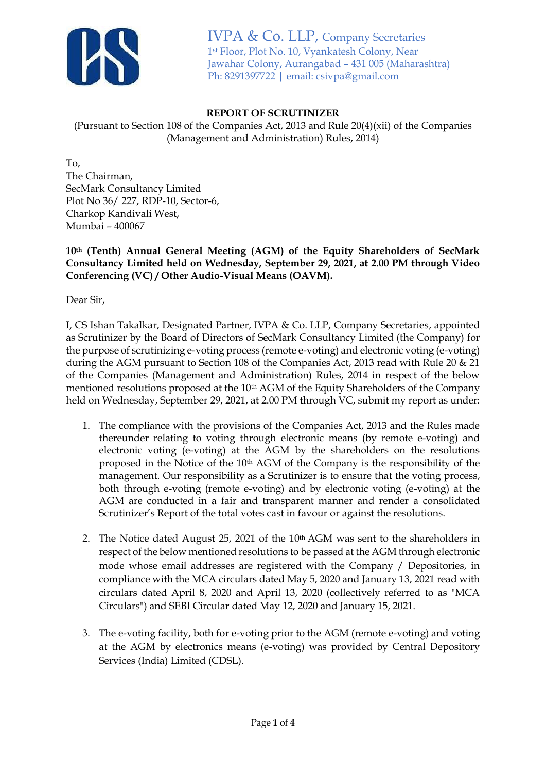

IVPA & Co. LLP, Company Secretaries 1st Floor, Plot No. 10, Vyankatesh Colony, Near Jawahar Colony, Aurangabad – 431 005 (Maharashtra) Ph: 8291397722 | email: csivpa@gmail.com

## **REPORT OF SCRUTINIZER**

(Pursuant to Section 108 of the Companies Act, 2013 and Rule 20(4)(xii) of the Companies (Management and Administration) Rules, 2014)

To, The Chairman, SecMark Consultancy Limited Plot No 36/ 227, RDP-10, Sector-6, Charkop Kandivali West, Mumbai – 400067

**10th (Tenth) Annual General Meeting (AGM) of the Equity Shareholders of SecMark Consultancy Limited held on Wednesday, September 29, 2021, at 2.00 PM through Video Conferencing (VC) / Other Audio-Visual Means (OAVM).** 

Dear Sir,

I, CS Ishan Takalkar, Designated Partner, IVPA & Co. LLP, Company Secretaries, appointed as Scrutinizer by the Board of Directors of SecMark Consultancy Limited (the Company) for the purpose of scrutinizing e-voting process (remote e-voting) and electronic voting (e-voting) during the AGM pursuant to Section 108 of the Companies Act, 2013 read with Rule 20 & 21 of the Companies (Management and Administration) Rules, 2014 in respect of the below mentioned resolutions proposed at the 10<sup>th</sup> AGM of the Equity Shareholders of the Company held on Wednesday, September 29, 2021, at 2.00 PM through VC, submit my report as under:

- 1. The compliance with the provisions of the Companies Act, 2013 and the Rules made thereunder relating to voting through electronic means (by remote e-voting) and electronic voting (e-voting) at the AGM by the shareholders on the resolutions proposed in the Notice of the 10th AGM of the Company is the responsibility of the management. Our responsibility as a Scrutinizer is to ensure that the voting process, both through e-voting (remote e-voting) and by electronic voting (e-voting) at the AGM are conducted in a fair and transparent manner and render a consolidated Scrutinizer's Report of the total votes cast in favour or against the resolutions.
- 2. The Notice dated August 25, 2021 of the 10<sup>th</sup> AGM was sent to the shareholders in respect of the below mentioned resolutions to be passed at the AGM through electronic mode whose email addresses are registered with the Company / Depositories, in compliance with the MCA circulars dated May 5, 2020 and January 13, 2021 read with circulars dated April 8, 2020 and April 13, 2020 (collectively referred to as "MCA Circulars") and SEBI Circular dated May 12, 2020 and January 15, 2021.
- 3. The e-voting facility, both for e-voting prior to the AGM (remote e-voting) and voting at the AGM by electronics means (e-voting) was provided by Central Depository Services (India) Limited (CDSL).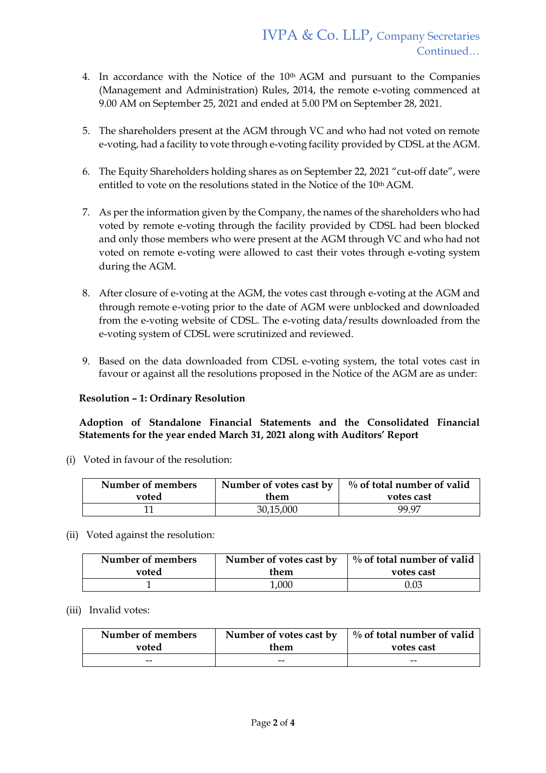- 4. In accordance with the Notice of the 10th AGM and pursuant to the Companies (Management and Administration) Rules, 2014, the remote e-voting commenced at 9.00 AM on September 25, 2021 and ended at 5.00 PM on September 28, 2021.
- 5. The shareholders present at the AGM through VC and who had not voted on remote e-voting, had a facility to vote through e-voting facility provided by CDSL at the AGM.
- 6. The Equity Shareholders holding shares as on September 22, 2021 "cut-off date", were entitled to vote on the resolutions stated in the Notice of the 10<sup>th</sup> AGM.
- 7. As per the information given by the Company, the names of the shareholders who had voted by remote e-voting through the facility provided by CDSL had been blocked and only those members who were present at the AGM through VC and who had not voted on remote e-voting were allowed to cast their votes through e-voting system during the AGM.
- 8. After closure of e-voting at the AGM, the votes cast through e-voting at the AGM and through remote e-voting prior to the date of AGM were unblocked and downloaded from the e-voting website of CDSL. The e-voting data/results downloaded from the e-voting system of CDSL were scrutinized and reviewed.
- 9. Based on the data downloaded from CDSL e-voting system, the total votes cast in favour or against all the resolutions proposed in the Notice of the AGM are as under:

## **Resolution – 1: Ordinary Resolution**

**Adoption of Standalone Financial Statements and the Consolidated Financial Statements for the year ended March 31, 2021 along with Auditors' Report**

(i) Voted in favour of the resolution:

| Number of members | Number of votes cast by |       |
|-------------------|-------------------------|-------|
| voted             | them                    |       |
| 11                | 30,15,000               | 99.97 |

(ii) Voted against the resolution:

| Number of members | Number of votes cast by | $\%$ of total number of valid |  |  |
|-------------------|-------------------------|-------------------------------|--|--|
| voted             | them                    | votes cast                    |  |  |
|                   | 1,000                   | 0.03                          |  |  |

(iii) Invalid votes:

| Number of members | Number of votes cast by | $\frac{1}{2}$ % of total number of valid |  |  |
|-------------------|-------------------------|------------------------------------------|--|--|
| voted             | them                    | votes cast                               |  |  |
| --                | --                      | --                                       |  |  |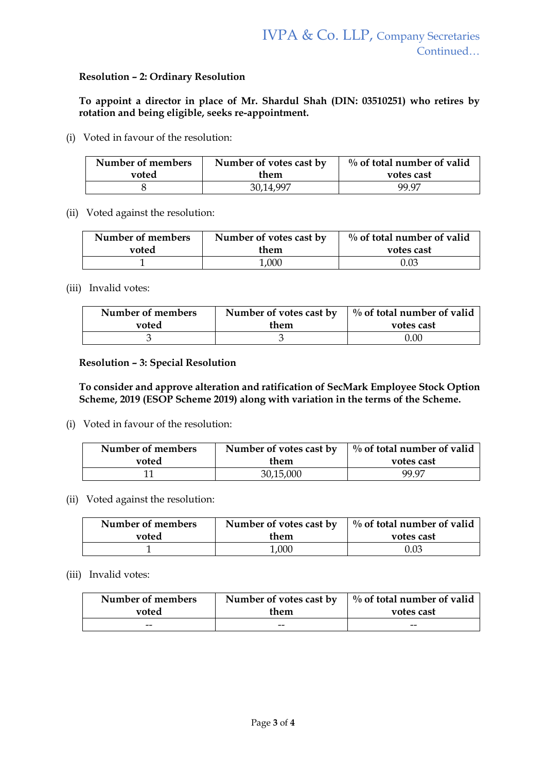### **Resolution – 2: Ordinary Resolution**

**To appoint a director in place of Mr. Shardul Shah (DIN: 03510251) who retires by rotation and being eligible, seeks re-appointment.**

(i) Voted in favour of the resolution:

| Number of members | Number of votes cast by | $\%$ of total number of valid |
|-------------------|-------------------------|-------------------------------|
| voted             | them                    | votes cast                    |
|                   | 30,14,997               | 99.97                         |

(ii) Voted against the resolution:

| Number of members | Number of votes cast by | $\%$ of total number of valid |  |  |
|-------------------|-------------------------|-------------------------------|--|--|
| voted             | them                    | votes cast                    |  |  |
|                   | 1,000                   | 0.03                          |  |  |

(iii) Invalid votes:

| Number of members | Number of votes cast by | $\frac{1}{2}$ % of total number of valid |  |  |
|-------------------|-------------------------|------------------------------------------|--|--|
| voted             | them                    | votes cast                               |  |  |
|                   |                         | 0.00                                     |  |  |

### **Resolution – 3: Special Resolution**

**To consider and approve alteration and ratification of SecMark Employee Stock Option Scheme, 2019 (ESOP Scheme 2019) along with variation in the terms of the Scheme.**

(i) Voted in favour of the resolution:

| Number of members | Number of votes cast by | $\%$ of total number of valid |  |
|-------------------|-------------------------|-------------------------------|--|
| voted             | them                    | votes cast                    |  |
| 11                | 30,15,000               | 99.97                         |  |

(ii) Voted against the resolution:

| Number of members | Number of votes cast by | $\frac{1}{2}$ % of total number of valid |  |  |
|-------------------|-------------------------|------------------------------------------|--|--|
| voted             | them                    | votes cast                               |  |  |
|                   | 1,000                   | 0.03                                     |  |  |

### (iii) Invalid votes:

| Number of members | $\%$ of total number of valid |            |
|-------------------|-------------------------------|------------|
| voted             | them                          | votes cast |
| --                | $- -$                         | --         |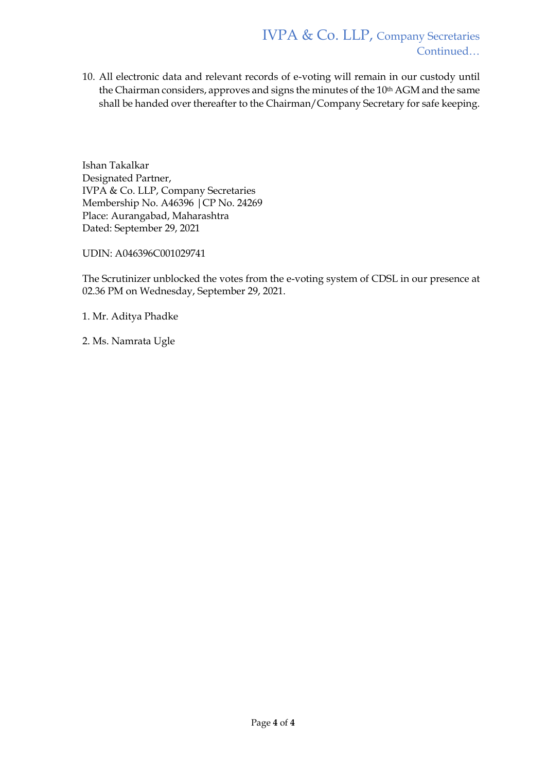10. All electronic data and relevant records of e-voting will remain in our custody until the Chairman considers, approves and signs the minutes of the 10<sup>th</sup> AGM and the same shall be handed over thereafter to the Chairman/Company Secretary for safe keeping.

Ishan Takalkar Designated Partner, IVPA & Co. LLP, Company Secretaries Membership No. A46396 |CP No. 24269 Place: Aurangabad, Maharashtra Dated: September 29, 2021

UDIN: A046396C001029741

The Scrutinizer unblocked the votes from the e-voting system of CDSL in our presence at 02.36 PM on Wednesday, September 29, 2021.

1. Mr. Aditya Phadke

2. Ms. Namrata Ugle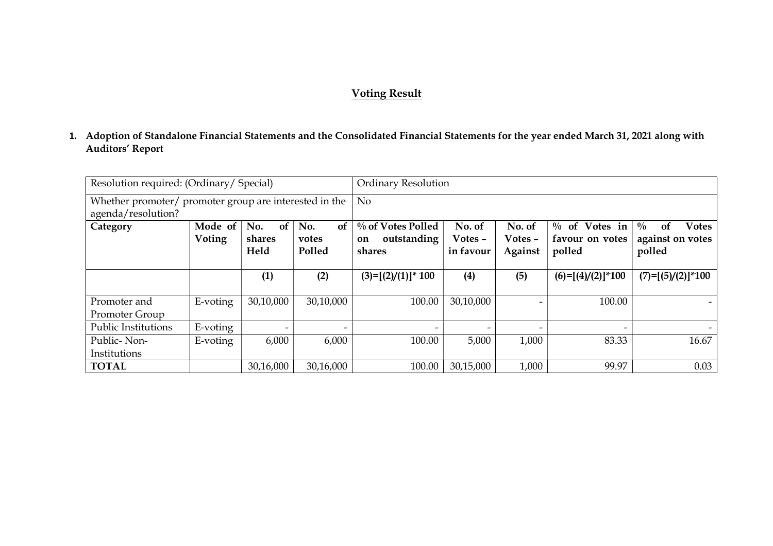# Voting Result

1. Adoption of Standalone Financial Statements and the Consolidated Financial Statements for the year ended March 31, 2021 along with Auditors' Report

| Resolution required: (Ordinary/ Special)<br><b>Ordinary Resolution</b>       |                          |                                        |                              |                                                  |                                |                              |                                               |                                                                              |
|------------------------------------------------------------------------------|--------------------------|----------------------------------------|------------------------------|--------------------------------------------------|--------------------------------|------------------------------|-----------------------------------------------|------------------------------------------------------------------------------|
| Whether promoter/ promoter group are interested in the<br>agenda/resolution? |                          | N <sub>o</sub>                         |                              |                                                  |                                |                              |                                               |                                                                              |
| Category                                                                     | Mode of<br><b>Voting</b> | No.<br><sub>of</sub><br>shares<br>Held | No.<br>of<br>votes<br>Polled | % of Votes Polled<br>outstanding<br>on<br>shares | No. of<br>Votes -<br>in favour | No. of<br>Votes -<br>Against | $\%$ of Votes in<br>favour on votes<br>polled | $\frac{0}{0}$<br><b>Votes</b><br><sub>of</sub><br>against on votes<br>polled |
|                                                                              |                          | (1)                                    | (2)                          | $(3)=[(2)/(1)]^* 100$                            | (4)                            | (5)                          | $(6)=[(4)/(2)]*100$                           | $(7)=[(5)/(2)]^{*}100$                                                       |
| Promoter and<br>Promoter Group                                               | E-voting                 | 30,10,000                              | 30,10,000                    | 100.00                                           | 30,10,000                      |                              | 100.00                                        |                                                                              |
| <b>Public Institutions</b>                                                   | E-voting                 | -                                      | $\overline{\phantom{0}}$     |                                                  |                                | $\overline{\phantom{0}}$     |                                               |                                                                              |
| Public-Non-<br>Institutions                                                  | E-voting                 | 6,000                                  | 6,000                        | 100.00                                           | 5,000                          | 1,000                        | 83.33                                         | 16.67                                                                        |
| <b>TOTAL</b>                                                                 |                          | 30,16,000                              | 30,16,000                    | 100.00                                           | 30,15,000                      | 1,000                        | 99.97                                         | 0.03                                                                         |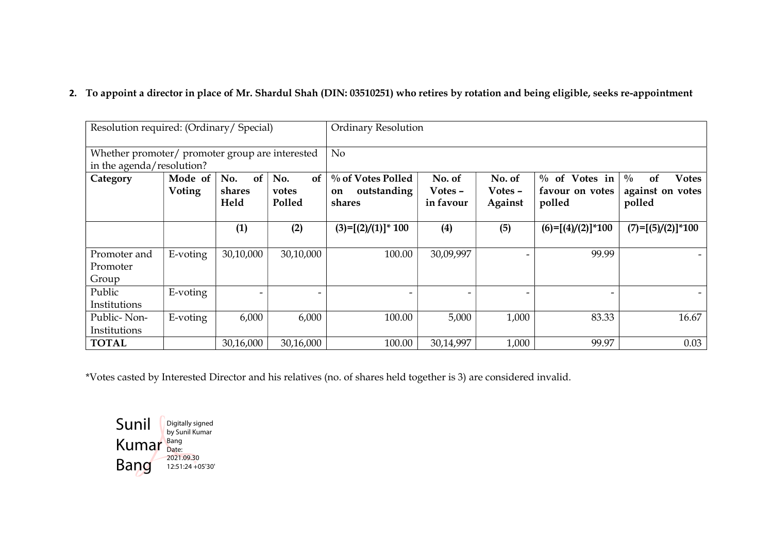# 2. To appoint a director in place of Mr. Shardul Shah (DIN: 03510251) who retires by rotation and being eligible, seeks re-appointment

| Resolution required: (Ordinary/ Special)                                     |                   |                          |                          | <b>Ordinary Resolution</b>             |                   |                   |                                     |                                                         |  |
|------------------------------------------------------------------------------|-------------------|--------------------------|--------------------------|----------------------------------------|-------------------|-------------------|-------------------------------------|---------------------------------------------------------|--|
| Whether promoter/ promoter group are interested<br>in the agenda/resolution? |                   |                          |                          | N <sub>o</sub>                         |                   |                   |                                     |                                                         |  |
| Category                                                                     | Mode of<br>Voting | of<br>No.<br>shares      | of<br>No.<br>votes       | % of Votes Polled<br>outstanding<br>on | No. of<br>Votes - | No. of<br>Votes - | $\%$ of Votes in<br>favour on votes | $\frac{0}{0}$<br>of<br><b>Votes</b><br>against on votes |  |
|                                                                              |                   | Held                     | Polled                   | shares                                 | in favour         | Against           | polled                              | polled                                                  |  |
|                                                                              |                   | (1)                      | (2)                      | $(3)=[(2)/(1)]^* 100$                  | (4)               | (5)               | $(6)=[(4)/(2)]^{*}100$              | $(7)=[(5)/(2)]*100$                                     |  |
| Promoter and<br>Promoter<br>Group                                            | E-voting          | 30,10,000                | 30,10,000                | 100.00                                 | 30,09,997         |                   | 99.99                               |                                                         |  |
| Public<br>Institutions                                                       | E-voting          | $\overline{\phantom{a}}$ | $\overline{\phantom{a}}$ |                                        |                   |                   |                                     |                                                         |  |
| Public-Non-<br>Institutions                                                  | E-voting          | 6,000                    | 6,000                    | 100.00                                 | 5,000             | 1,000             | 83.33                               | 16.67                                                   |  |
| <b>TOTAL</b>                                                                 |                   | 30,16,000                | 30,16,000                | 100.00                                 | 30,14,997         | 1,000             | 99.97                               | 0.03                                                    |  |

\*Votes casted by Interested Director and his relatives (no. of shares held together is 3) are considered invalid.